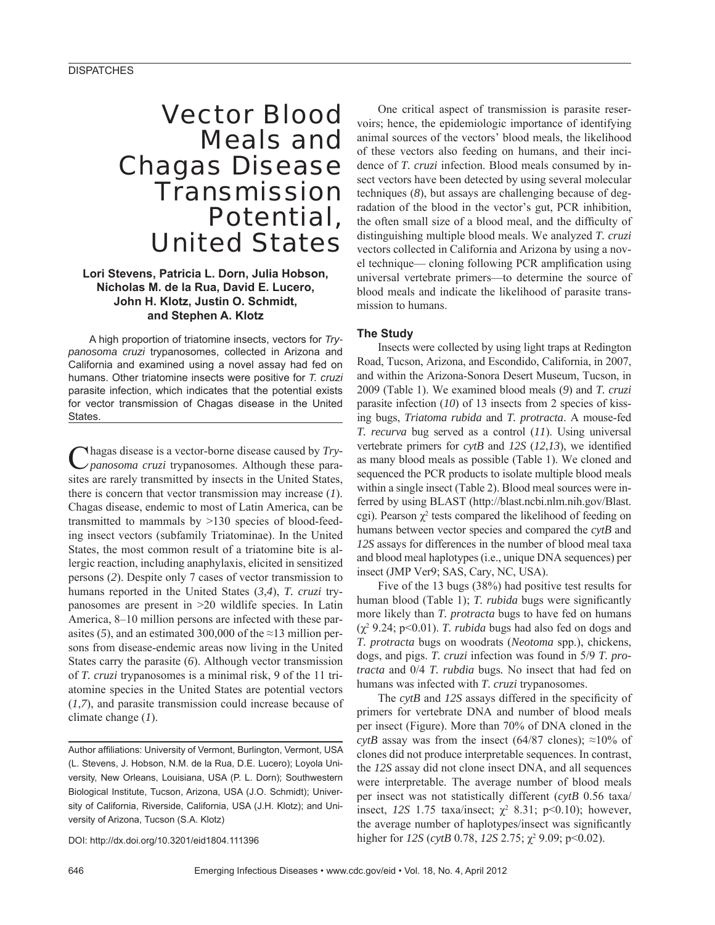# Vector Blood Meals and Chagas Disease Transmission Potential, United States

## **Lori Stevens, Patricia L. Dorn, Julia Hobson, Nicholas M. de la Rua, David E. Lucero, John H. Klotz, Justin O. Schmidt, and Stephen A. Klotz**

A high proportion of triatomine insects, vectors for *Trypanosoma cruzi* trypanosomes, collected in Arizona and California and examined using a novel assay had fed on humans. Other triatomine insects were positive for *T. cruzi* parasite infection, which indicates that the potential exists for vector transmission of Chagas disease in the United States.

Chagas disease is a vector-borne disease caused by *Try-panosoma cruzi* trypanosomes. Although these parasites are rarely transmitted by insects in the United States, there is concern that vector transmission may increase (*1*). Chagas disease, endemic to most of Latin America, can be transmitted to mammals by >130 species of blood-feeding insect vectors (subfamily Triatominae). In the United States, the most common result of a triatomine bite is allergic reaction, including anaphylaxis, elicited in sensitized persons (*2*). Despite only 7 cases of vector transmission to humans reported in the United States (*3*,*4*), *T. cruzi* trypanosomes are present in >20 wildlife species. In Latin America, 8–10 million persons are infected with these parasites (5), and an estimated 300,000 of the  $\approx$ 13 million persons from disease-endemic areas now living in the United States carry the parasite (*6*). Although vector transmission of *T. cruzi* trypanosomes is a minimal risk, 9 of the 11 triatomine species in the United States are potential vectors (*1*,*7*), and parasite transmission could increase because of climate change (*1*).

Author affiliations: University of Vermont, Burlington, Vermont, USA (L. Stevens, J. Hobson, N.M. de la Rua, D.E. Lucero); Loyola University, New Orleans, Louisiana, USA (P. L. Dorn); Southwestern Biological Institute, Tucson, Arizona, USA (J.O. Schmidt); University of California, Riverside, California, USA (J.H. Klotz); and University of Arizona, Tucson (S.A. Klotz)

DOI: http://dx.doi.org/10.3201/eid1804.111396

One critical aspect of transmission is parasite reservoirs; hence, the epidemiologic importance of identifying animal sources of the vectors' blood meals, the likelihood of these vectors also feeding on humans, and their incidence of *T. cruzi* infection. Blood meals consumed by insect vectors have been detected by using several molecular techniques (*8*), but assays are challenging because of degradation of the blood in the vector's gut, PCR inhibition, the often small size of a blood meal, and the difficulty of distinguishing multiple blood meals. We analyzed *T. cruzi* vectors collected in California and Arizona by using a novel technique— cloning following PCR amplification using universal vertebrate primers—to determine the source of blood meals and indicate the likelihood of parasite transmission to humans.

## **The Study**

Insects were collected by using light traps at Redington Road, Tucson, Arizona, and Escondido, California, in 2007, and within the Arizona-Sonora Desert Museum, Tucson, in 2009 (Table 1). We examined blood meals (*9*) and *T. cruzi* parasite infection (*10*) of 13 insects from 2 species of kissing bugs, *Triatoma rubida* and *T. protracta*. A mouse-fed *T. recurva* bug served as a control (*11*). Using universal vertebrate primers for  $cvtB$  and  $12S(12,13)$ , we identified as many blood meals as possible (Table 1). We cloned and sequenced the PCR products to isolate multiple blood meals within a single insect (Table 2). Blood meal sources were inferred by using BLAST (http://blast.ncbi.nlm.nih.gov/Blast. cgi). Pearson  $\chi^2$  tests compared the likelihood of feeding on humans between vector species and compared the *cytB* and *12S* assays for differences in the number of blood meal taxa and blood meal haplotypes (i.e., unique DNA sequences) per insect (JMP Ver9; SAS, Cary, NC, USA).

Five of the 13 bugs (38%) had positive test results for human blood (Table 1); *T. rubida* bugs were significantly more likely than *T. protracta* bugs to have fed on humans  $(\chi^2 9.24; \text{ p} < 0.01)$ . *T. rubida* bugs had also fed on dogs and *T. protracta* bugs on woodrats (*Neotoma* spp.), chickens, dogs, and pigs. *T. cruzi* infection was found in 5/9 *T. protracta* and 0/4 *T. rubdia* bugs*.* No insect that had fed on humans was infected with *T. cruzi* trypanosomes.

The *cytB* and *12S* assays differed in the specificity of primers for vertebrate DNA and number of blood meals per insect (Figure). More than 70% of DNA cloned in the *cytB* assay was from the insect (64/87 clones);  $\approx$ 10% of clones did not produce interpretable sequences. In contrast, the *12S* assay did not clone insect DNA, and all sequences were interpretable. The average number of blood meals per insect was not statistically different (*cytB* 0.56 taxa/ insect,  $12S$  1.75 taxa/insect;  $\chi^2$  8.31; p<0.10); however, the average number of haplotypes/insect was significantly higher for  $12S$  (*cytB* 0.78,  $12S$  2.75;  $\chi^2$  9.09; p<0.02).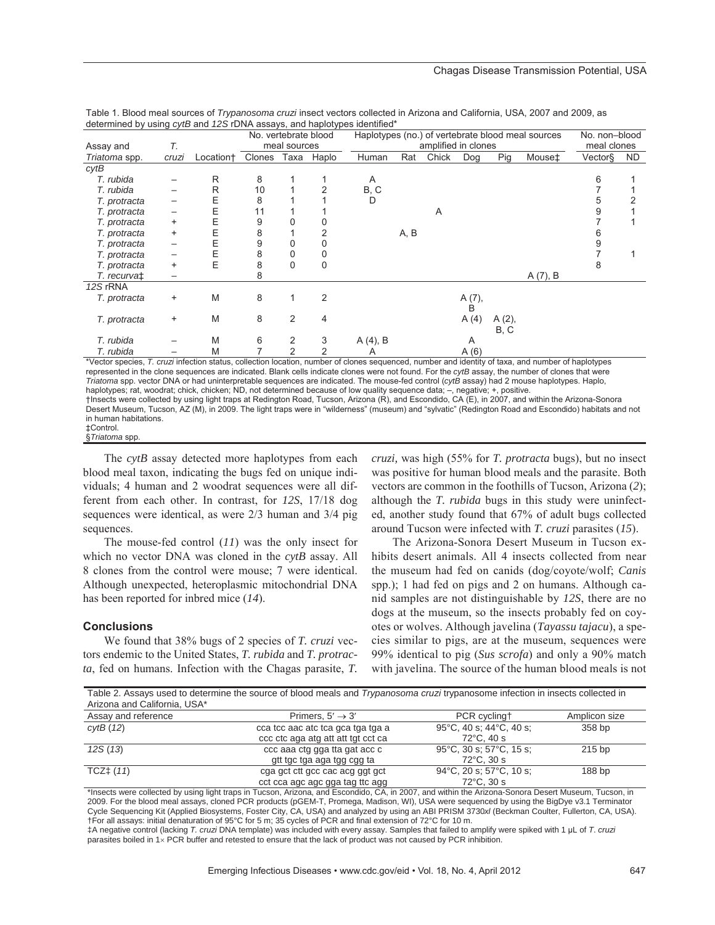| determined by using cyclo and TZO TDNA assays, and hapiotypes identified                                                                           |           |                       | No. vertebrate blood |               |               | Haplotypes (no.) of vertebrate blood meal sources |      |       |        |          |         | No. non-blood |     |
|----------------------------------------------------------------------------------------------------------------------------------------------------|-----------|-----------------------|----------------------|---------------|---------------|---------------------------------------------------|------|-------|--------|----------|---------|---------------|-----|
| Assay and                                                                                                                                          | Т.        |                       | meal sources         |               |               | amplified in clones                               |      |       |        |          |         | meal clones   |     |
| Triatoma spp.                                                                                                                                      | cruzi     | Location <sup>+</sup> | Clones               | Таха          | Haplo         | Human                                             | Rat  | Chick | Dog    | Pig      | Mouse‡  | Vector§       | ND. |
| cytB                                                                                                                                               |           |                       |                      |               |               |                                                   |      |       |        |          |         |               |     |
| T. rubida                                                                                                                                          |           | R                     | 8                    |               |               | Α                                                 |      |       |        |          |         | 6             |     |
| T. rubida                                                                                                                                          |           | R                     | 10                   |               |               | B, C                                              |      |       |        |          |         |               |     |
| T. protracta                                                                                                                                       |           | Ε                     | 8                    |               |               | D                                                 |      |       |        |          |         |               |     |
| T. protracta                                                                                                                                       |           | Ε                     | 11                   |               |               |                                                   |      | A     |        |          |         |               |     |
| T. protracta                                                                                                                                       | +         | Ε                     | 9                    |               |               |                                                   |      |       |        |          |         |               |     |
| T. protracta                                                                                                                                       | $\ddot{}$ | Ε                     | 8                    |               |               |                                                   | A, B |       |        |          |         |               |     |
| T. protracta                                                                                                                                       |           | Ε                     | 9                    |               |               |                                                   |      |       |        |          |         |               |     |
| T. protracta                                                                                                                                       |           | Ε                     | 8                    |               |               |                                                   |      |       |        |          |         |               |     |
| T. protracta                                                                                                                                       | $\ddot{}$ | E                     | 8                    | 0             | 0             |                                                   |      |       |        |          |         |               |     |
| T. recurva‡                                                                                                                                        |           |                       | 8                    |               |               |                                                   |      |       |        |          | A(7), B |               |     |
| 12S rRNA                                                                                                                                           |           |                       |                      |               |               |                                                   |      |       |        |          |         |               |     |
| T. protracta                                                                                                                                       | +         | M                     | 8                    |               | 2             |                                                   |      |       | A (7), |          |         |               |     |
|                                                                                                                                                    |           |                       |                      |               |               |                                                   |      |       | B      |          |         |               |     |
| T. protracta                                                                                                                                       | $\ddot{}$ | M                     | 8                    | 2             | 4             |                                                   |      |       | A(4)   | $A(2)$ , |         |               |     |
|                                                                                                                                                    |           |                       |                      |               |               |                                                   |      |       |        | B, C     |         |               |     |
| T. rubida                                                                                                                                          |           | M                     | 6                    |               | 3             | A (4), B                                          |      |       | A      |          |         |               |     |
| T. rubida                                                                                                                                          |           | M                     |                      | $\mathcal{P}$ | $\mathcal{P}$ | Α                                                 |      |       | A(6)   |          |         |               |     |
| *Vector species, T. cruzi infection status, collection location, number of clones sequenced, number and identity of taxa, and number of haplotypes |           |                       |                      |               |               |                                                   |      |       |        |          |         |               |     |

Table 1. Blood meal sources of *Trypanosoma cruzi* insect vectors collected in Arizona and California, USA, 2007 and 2009, as determined by using *cytB* and *12S* rDNA assays, and haplotypes identified\*

represented in the clone sequences are indicated. Blank cells indicate clones were not found. For the *cytB* assay, the number of clones that were *Triatoma* spp. vector DNA or had uninterpretable sequences are indicated. The mouse-fed control (*cytB* assay) had 2 mouse haplotypes. Haplo, haplotypes; rat, woodrat; chick, chicken; ND, not determined because of low quality sequence data; -, negative; +, positive. †Insects were collected by using light traps at Redington Road, Tucson, Arizona (R), and Escondido, CA (E), in 2007, and within the Arizona-Sonora Desert Museum, Tucson, AZ (M), in 2009. The light traps were in "wilderness" (museum) and "sylvatic" (Redington Road and Escondido) habitats and not in human habitations. ‡Control.

§*Triatoma* spp.

The *cytB* assay detected more haplotypes from each blood meal taxon, indicating the bugs fed on unique individuals; 4 human and 2 woodrat sequences were all different from each other. In contrast, for *12S*, 17/18 dog sequences were identical, as were 2/3 human and 3/4 pig sequences.

The mouse-fed control (*11*) was the only insect for which no vector DNA was cloned in the *cytB* assay. All 8 clones from the control were mouse; 7 were identical. Although unexpected, heteroplasmic mitochondrial DNA has been reported for inbred mice (*14*).

#### **Conclusions**

We found that 38% bugs of 2 species of *T. cruzi* vectors endemic to the United States, *T. rubida* and *T. protracta*, fed on humans. Infection with the Chagas parasite, *T.* 

gtt tgc tga aga tgg cgg ta<br>TCZ‡ (11) cga gct ctt gcc cac acg ggt of

*cruzi,* was high (55% for *T. protracta* bugs), but no insect was positive for human blood meals and the parasite. Both vectors are common in the foothills of Tucson, Arizona (*2*); although the *T. rubida* bugs in this study were uninfected, another study found that 67% of adult bugs collected around Tucson were infected with *T. cruzi* parasites (*15*).

The Arizona-Sonora Desert Museum in Tucson exhibits desert animals. All 4 insects collected from near the museum had fed on canids (dog/coyote/wolf; *Canis* spp.); 1 had fed on pigs and 2 on humans. Although canid samples are not distinguishable by *12S*, there are no dogs at the museum, so the insects probably fed on coyotes or wolves. Although javelina (*Tayassu tajacu*), a species similar to pigs, are at the museum, sequences were 99% identical to pig (*Sus scrofa*) and only a 90% match with javelina. The source of the human blood meals is not

72°C, 30 s

| Table 2. Assays used to determine the source of blood meals and Trypanosoma cruzi trypanosome infection in insects collected in<br>Arizona and California, USA* |                                    |                                              |               |  |  |  |  |  |
|-----------------------------------------------------------------------------------------------------------------------------------------------------------------|------------------------------------|----------------------------------------------|---------------|--|--|--|--|--|
| Assay and reference                                                                                                                                             | Primers. $5' \rightarrow 3'$       | PCR cyclingt                                 | Amplicon size |  |  |  |  |  |
| cvtB(12)                                                                                                                                                        | cca tcc aac atc tca gca tga tga a  | 95°C, 40 s; 44°C, 40 s;                      | 358 bp        |  |  |  |  |  |
|                                                                                                                                                                 | ccc ctc aga atg att att tgt cct ca | $72^{\circ}$ C. 40 s                         |               |  |  |  |  |  |
| 12S(13)                                                                                                                                                         | ccc aaa ctg gga tta gat acc c      | $95^{\circ}$ C, 30 s; 57 $^{\circ}$ C, 15 s; | $215$ bp      |  |  |  |  |  |

72°C, 30 s cct cca agc agc gga tag ttc agg \*Insects were collected by using light traps in Tucson, Arizona, and Escondido, CA, in 2007, and within the Arizona-Sonora Desert Museum, Tucson, in 2009. For the blood meal assays, cloned PCR products (pGEM-T, Promega, Madison, WI), USA were sequenced by using the BigDye v3.1 Terminator Cycle Sequencing Kit (Applied Biosystems, Foster City, CA, USA) and analyzed by using an ABI PRISM 3730*xl* (Beckman Coulter, Fullerton, CA, USA). †For all assays: initial denaturation of 95°C for 5 m; 35 cycles of PCR and final extension of 72°C for 10 m.

cga gct ctt gcc cac acg ggt gct 94°C, 20 s; 57°C, 10 s;

‡A negative control (lacking *T. cruzi* DNA template) was included with every assay. Samples that failed to amplify were spiked with 1 ȝL of *T*. *cruzi* parasites boiled in 1x PCR buffer and retested to ensure that the lack of product was not caused by PCR inhibition.

188 bp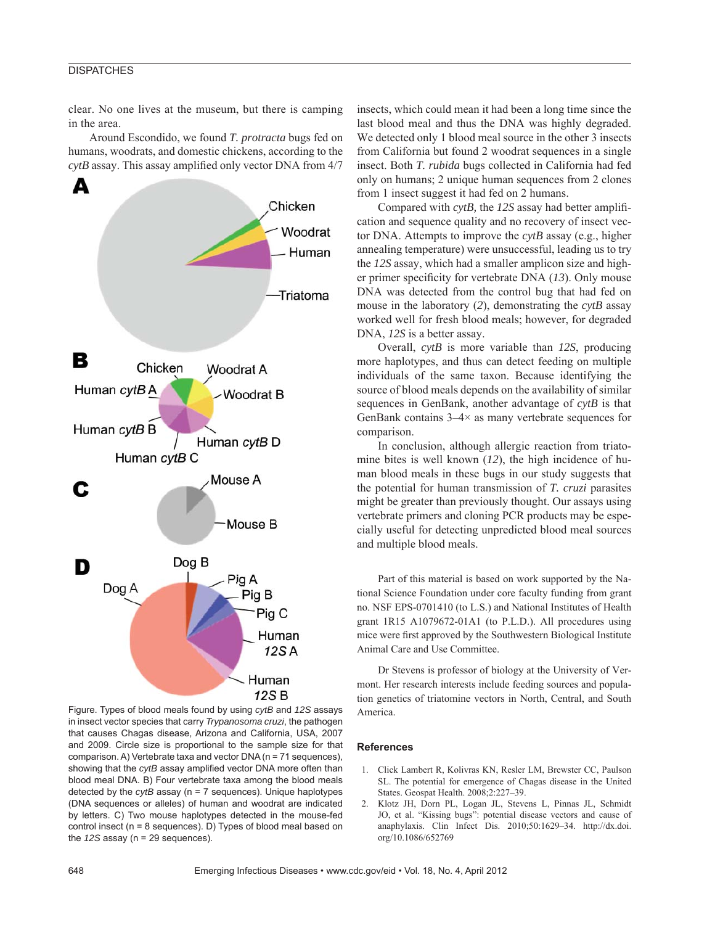## **DISPATCHES**

clear. No one lives at the museum, but there is camping in the area.

Around Escondido, we found *T. protracta* bugs fed on humans, woodrats, and domestic chickens, according to the  $cytB$  assay. This assay amplified only vector DNA from  $4/7$ 



Figure. Types of blood meals found by using *cytB* and *12S* assays in insect vector species that carry *Trypanosoma cruzi*, the pathogen that causes Chagas disease, Arizona and California, USA, 2007 and 2009. Circle size is proportional to the sample size for that comparison. A) Vertebrate taxa and vector DNA (n = 71 sequences), showing that the *cytB* assay amplified vector DNA more often than blood meal DNA. B) Four vertebrate taxa among the blood meals detected by the *cytB* assay (n = 7 sequences). Unique haplotypes (DNA sequences or alleles) of human and woodrat are indicated by letters. C) Two mouse haplotypes detected in the mouse-fed control insect (n = 8 sequences). D) Types of blood meal based on the *12S* assay (n = 29 sequences).

insects, which could mean it had been a long time since the last blood meal and thus the DNA was highly degraded. We detected only 1 blood meal source in the other 3 insects from California but found 2 woodrat sequences in a single insect. Both *T. rubida* bugs collected in California had fed only on humans; 2 unique human sequences from 2 clones from 1 insect suggest it had fed on 2 humans.

Compared with *cytB*, the *12S* assay had better amplification and sequence quality and no recovery of insect vector DNA. Attempts to improve the *cytB* assay (e.g., higher annealing temperature) were unsuccessful, leading us to try the *12S* assay, which had a smaller amplicon size and higher primer specificity for vertebrate DNA (13). Only mouse DNA was detected from the control bug that had fed on mouse in the laboratory (*2*), demonstrating the *cytB* assay worked well for fresh blood meals; however, for degraded DNA, *12S* is a better assay.

Overall, *cytB* is more variable than *12S*, producing more haplotypes, and thus can detect feeding on multiple individuals of the same taxon. Because identifying the source of blood meals depends on the availability of similar sequences in GenBank, another advantage of *cytB* is that GenBank contains  $3-4\times$  as many vertebrate sequences for comparison.

In conclusion, although allergic reaction from triatomine bites is well known (*12*), the high incidence of human blood meals in these bugs in our study suggests that the potential for human transmission of *T. cruzi* parasites might be greater than previously thought. Our assays using vertebrate primers and cloning PCR products may be especially useful for detecting unpredicted blood meal sources and multiple blood meals.

Part of this material is based on work supported by the National Science Foundation under core faculty funding from grant no. NSF EPS-0701410 (to L.S.) and National Institutes of Health grant 1R15 A1079672-01A1 (to P.L.D.). All procedures using mice were first approved by the Southwestern Biological Institute Animal Care and Use Committee.

Dr Stevens is professor of biology at the University of Vermont. Her research interests include feeding sources and population genetics of triatomine vectors in North, Central, and South America.

#### **References**

- 1. Click Lambert R, Kolivras KN, Resler LM, Brewster CC, Paulson SL. The potential for emergence of Chagas disease in the United States. Geospat Health. 2008;2:227–39.
- 2. Klotz JH, Dorn PL, Logan JL, Stevens L, Pinnas JL, Schmidt JO, et al. "Kissing bugs": potential disease vectors and cause of anaphylaxis. Clin Infect Dis. 2010;50:1629–34. http://dx.doi. org/10.1086/652769